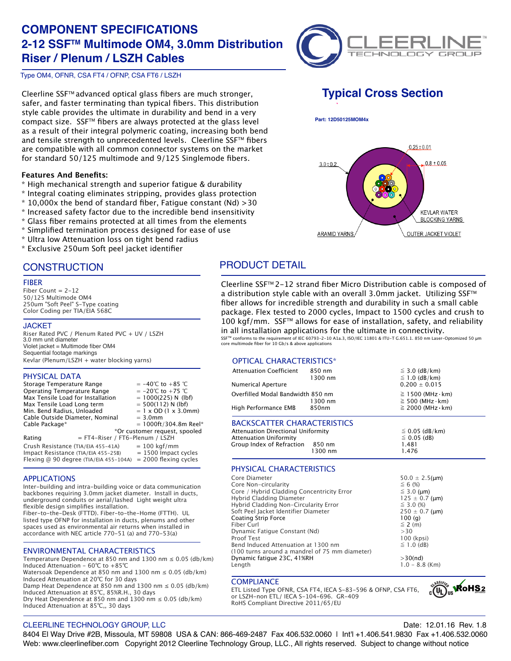# **COMPONENT SPECIFICATIONS 2-12 SSFTM Multimode OM4, 3.0mm Distribution Riser / Plenum / LSZH Cables**



Type OM4, OFNR, CSA FT4 / OFNP, CSA FT6 / LSZH

Cleerline SSF™ advanced optical glass fibers are much stronger, safer, and faster terminating than typical fibers. This distribution style cable provides the ultimate in durability and bend in a very compact size. SSF™ fibers are always protected at the glass level as a result of their integral polymeric coating, increasing both bend and tensile strength to unprecedented levels. Cleerline SSF™ fibers are compatible with all common connector systems on the market for standard 50/125 multimode and 9/125 Singlemode fibers.

### **Features And Benefits:**

- \* High mechanical strength and superior fatigue & durability
- \* Integral coating eliminates stripping, provides glass protection
- $*$  10,000x the bend of standard fiber, Fatigue constant (Nd)  $>$ 30
- \* Increased safety factor due to the incredible bend insensitivity
- \* Glass fiber remains protected at all times from the elements
- \* Simplified termination process designed for ease of use
- \* Ultra low Attenuation loss on tight bend radius
- \* Exclusive 250um Soft peel jacket identifier

### **CONSTRUCTION**

#### FIBER

Fiber Count =  $2-12$ 50/125 Multimode OM4 250um "Soft Peel" S-Type coating Color Coding per TIA/EIA 568C

### **JACKET**

Riser Rated PVC / Plenum Rated PVC + UV / LSZH 3.0 mm unit diameter Violet jacket = Multimode fiber OM4 Sequential footage markings Kevlar (Plenum/LSZH + water blocking yarns)

### PHYSICAL DATA

| Storage Temperature Range<br>Operating Temperature Range<br>Max Tensile Load for Installation<br>Max Tensile Load Long term<br>Min. Bend Radius, Unloaded<br>Cable Outside Diameter, Nominal<br>Cable Package* |                                        | $= -40^{\circ}$ C to $+85^{\circ}$ C<br>$= -20^{\circ}$ C to $+75^{\circ}$ C<br>$= 1000(225)$ N (lbf)<br>$= 500(112)$ N (lbf)<br>$= 1 \times$ OD (1 $\times$ 3.0mm)<br>$= 3.0$ mm<br>$= 1000 \text{ft} / 304.8 \text{m}$ Reel* |  |
|----------------------------------------------------------------------------------------------------------------------------------------------------------------------------------------------------------------|----------------------------------------|--------------------------------------------------------------------------------------------------------------------------------------------------------------------------------------------------------------------------------|--|
| Rating                                                                                                                                                                                                         | = FT4-Riser / FT6-Plenum / LSZH        | *Or customer request, spooled                                                                                                                                                                                                  |  |
| Crush Resistance (TIA/EIA 455-41A)<br>Impact Resistance (TIA/EIA 455-25B)                                                                                                                                      | Flexing @ 90 degree (TIA/EIA 455-104A) | $= 100$ kgf/mm<br>$= 1500$ Impact cycles<br>$= 2000$ flexing cycles                                                                                                                                                            |  |

### APPLICATIONS

Inter-building and intra-building voice or data communication backbones requiring 3.0mm jacket diameter. Install in ducts, underground conduits or aerial/lashed Light weight ultra flexible design simplifies installation.

Fiber-to-the-Desk (FTTD). Fiber-to-the-Home (FTTH). UL listed type OFNP for installation in ducts, plenums and other spaces used as environmental air returns when installed in accordance with NEC article 770-51 (a) and 770-53(a)

### ENVIRONMENTAL CHARACTERISTICS

Temperature Dependence at 850 nm and 1300 nm  $\leq$  0.05 (db/km) Induced Attenuation - 60℃ to +85℃ Watersoak Dependence at 850 nm and 1300 nm  $\leq$  0.05 (db/km) Induced Attenuation at 20℃ for 30 days Damp Heat Dependence at 850 nm and 1300 nm  $\leq$  0.05 (db/km) Induced Attenuation at 85℃, 85%R.H., 30 days Dry Heat Dependence at 850 nm and 1300 nm  $\leq$  0.05 (db/km) Induced Attenuation at 85℃,, 30 days

# **Typical Cross Section**

 **Part: 12D50125MOM4x**



## PRODUCT DETAIL

Cleerline SSFTM 2-12 strand fiber Micro Distribution cable is composed of a distribution style cable with an overall 3.0mm jacket. Utilizing SSF<sup>™</sup> fiber allows for incredible strength and durability in such a small cable package. Flex tested to 2000 cycles, Impact to 1500 cycles and crush to 100 kgf/mm. SSF™ allows for ease of installation, safety, and reliability in all installation applications for the ultimate in connectivity.

SSFTM conforms to the requirement of IEC 60793-2-10 A1a.3, ISO/IEC 11801 & ITU-T G.651.1. 850 nm Laser-Optomized 50 μm sse Comonis to the requirement of the service  $= -1$ 

### OPTICAL CHARACTERISTICS\*

| <b>Attenuation Coefficient</b><br>Numerical Aperture                                                                                   | 850 nm<br>1300 nm | $\leq$ 3.0 (dB/km)<br>$\leq$ 1.0 (dB/km)<br>$0.200 + 0.015$                                 |
|----------------------------------------------------------------------------------------------------------------------------------------|-------------------|---------------------------------------------------------------------------------------------|
| Overfilled Modal Bandwidth 850 nm<br>High Performance EMB                                                                              | 1300 nm<br>850nm  | $\geq$ 1500 (MHz $\cdot$ km)<br>$\geq$ 500 (MHz $\cdot$ km)<br>$\geq$ 2000 (MHz $\cdot$ km) |
| <b>BACKSCATTER CHARACTERISTICS</b><br>Attenuation Directional Uniformity<br><b>Attenuation Uniformity</b><br>Group Index of Refraction | 850 nm<br>1300 nm | $\leq$ 0.05 (dB/km)<br>$\leq$ 0.05 (dB)<br>1.481<br>1476                                    |

### PHYSICAL CHARACTERISTICS

| Core Diameter                                  | $50.0 \pm 2.5 \, \mu m$ |
|------------------------------------------------|-------------------------|
| Core Non-circularity                           | $\leq 6$ (%)            |
| Core / Hybrid Cladding Concentricity Error     | $\leq$ 3.0 (µm)         |
| Hybrid Cladding Diameter                       | $125 \pm 0.7$ (µm)      |
| Hybrid Cladding Non-Circularity Error          | $\leq$ 3.0 (%)          |
| Soft Peel Jacket Identifier Diameter           | $250 \pm 0.7$ (µm)      |
| Coating Strip Force                            | 100(q)                  |
| Fiber Curl                                     | $\leq$ 2 (m)            |
| Dynamic Fatique Constant (Nd)                  | >30                     |
| <b>Proof Test</b>                              | 100 (kpsi)              |
| Bend Induced Attenuation at 1300 nm            | $\leq$ 1.0 (dB)         |
| (100 turns around a mandrel of 75 mm diameter) |                         |
| Dynamic fatique 23C, 41%RH                     | $>30$ (nd)              |
| Length                                         | $1.0 - 8.8$ (Km)        |
|                                                |                         |

1300 nm

### **COMPLIANCE**

ETL Listed Type OFNR, CSA FT4, IECA S-83-596 & OFNP, CSA FT6, or LSZH-non ETL/ IECA S-104-696. GR-409 RoHS Compliant Directive 2011/65/EU



### CLEERLINE TECHNOLOGY GROUP, LLC Date: 12.01.16 Rev. 1.8

8404 El Way Drive #2B, Missoula, MT 59808 USA & CAN: 866-469-2487 Fax 406.532.0060 | Int'l +1.406.541.9830 Fax +1.406.532.0060 Web: www.cleerlinefiber.com Copyright 2012 Cleerline Technology Group, LLC., All rights reserved. Subject to change without notice